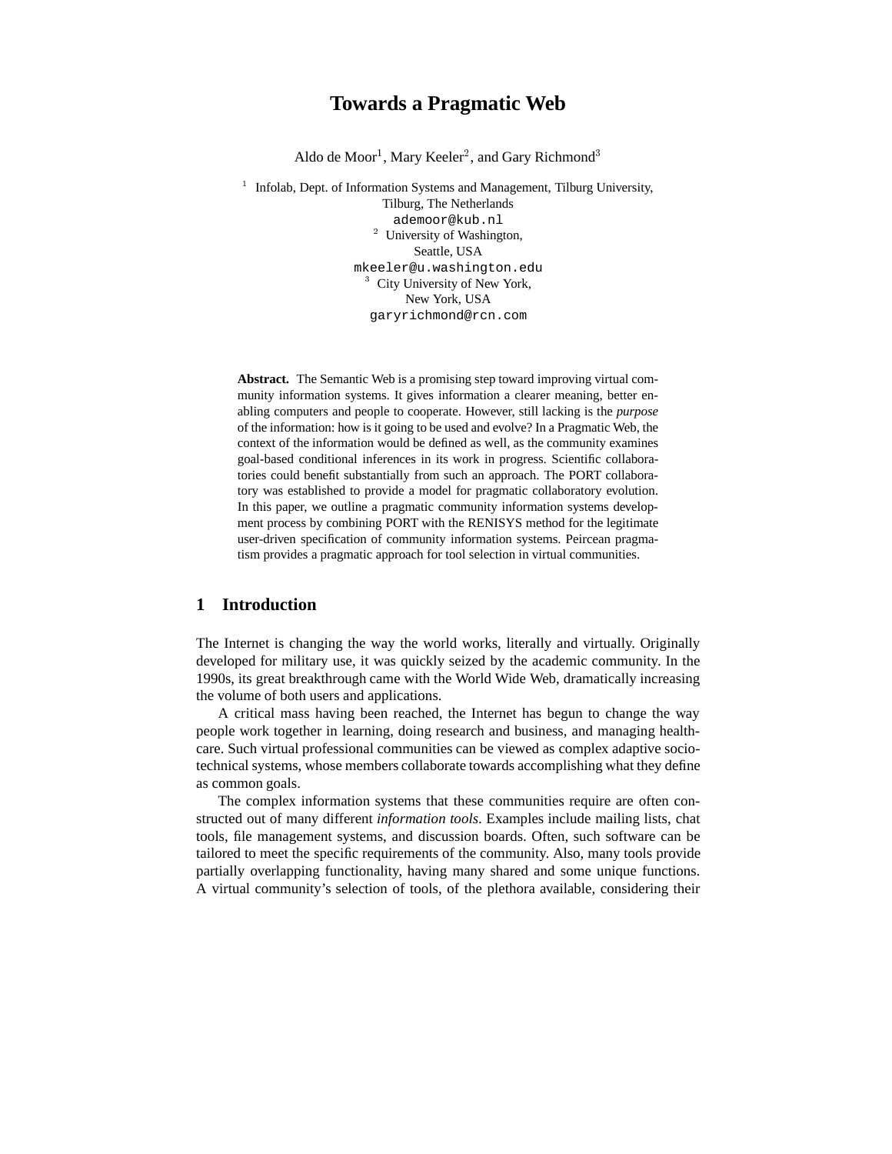# **Towards a Pragmatic Web**

Aldo de Moor<sup>1</sup>, Mary Keeler<sup>2</sup>, and Gary Richmond<sup>3</sup>

<sup>1</sup> Infolab, Dept. of Information Systems and Management, Tilburg University, Tilburg, The Netherlands ademoor@kub.nl <sup>2</sup> University of Washington, Seattle, USA mkeeler@u.washington.edu <sup>3</sup> City University of New York, New York, USA garyrichmond@rcn.com

**Abstract.** The Semantic Web is a promising step toward improving virtual community information systems. It gives information a clearer meaning, better enabling computers and people to cooperate. However, still lacking is the *purpose* of the information: how is it going to be used and evolve? In a Pragmatic Web, the context of the information would be defined as well, as the community examines goal-based conditional inferences in its work in progress. Scientific collaboratories could benefit substantially from such an approach. The PORT collaboratory was established to provide a model for pragmatic collaboratory evolution. In this paper, we outline a pragmatic community information systems development process by combining PORT with the RENISYS method for the legitimate user-driven specification of community information systems. Peircean pragmatism provides a pragmatic approach for tool selection in virtual communities.

# **1 Introduction**

The Internet is changing the way the world works, literally and virtually. Originally developed for military use, it was quickly seized by the academic community. In the 1990s, its great breakthrough came with the World Wide Web, dramatically increasing the volume of both users and applications.

A critical mass having been reached, the Internet has begun to change the way people work together in learning, doing research and business, and managing healthcare. Such virtual professional communities can be viewed as complex adaptive sociotechnical systems, whose members collaborate towards accomplishing what they define as common goals.

The complex information systems that these communities require are often constructed out of many different *information tools*. Examples include mailing lists, chat tools, file management systems, and discussion boards. Often, such software can be tailored to meet the specific requirements of the community. Also, many tools provide partially overlapping functionality, having many shared and some unique functions. A virtual community's selection of tools, of the plethora available, considering their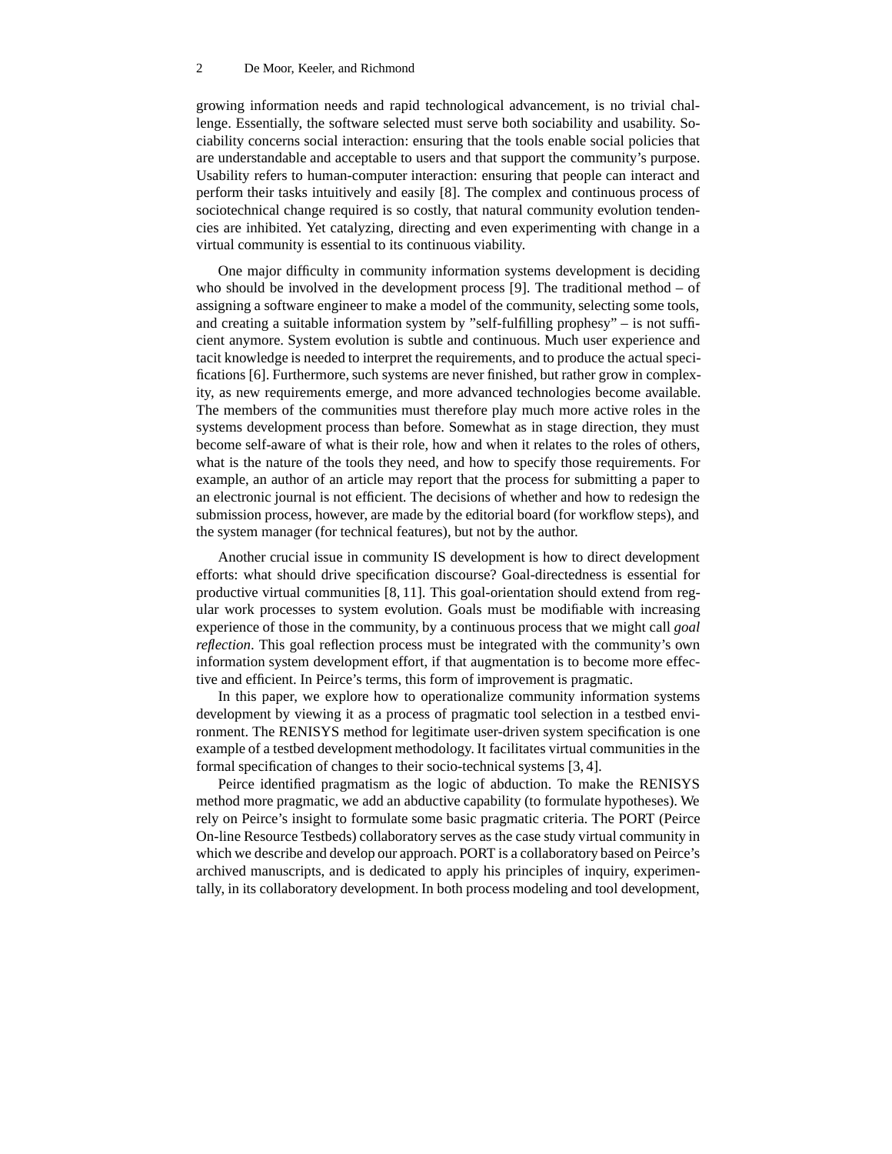growing information needs and rapid technological advancement, is no trivial challenge. Essentially, the software selected must serve both sociability and usability. Sociability concerns social interaction: ensuring that the tools enable social policies that are understandable and acceptable to users and that support the community's purpose. Usability refers to human-computer interaction: ensuring that people can interact and perform their tasks intuitively and easily [8]. The complex and continuous process of sociotechnical change required is so costly, that natural community evolution tendencies are inhibited. Yet catalyzing, directing and even experimenting with change in a virtual community is essential to its continuous viability.

One major difficulty in community information systems development is deciding who should be involved in the development process  $[9]$ . The traditional method – of assigning a software engineer to make a model of the community, selecting some tools, and creating a suitable information system by "self-fulfilling prophesy" – is not sufficient anymore. System evolution is subtle and continuous. Much user experience and tacit knowledge is needed to interpret the requirements, and to produce the actual specifications [6]. Furthermore, such systems are never finished, but rather grow in complexity, as new requirements emerge, and more advanced technologies become available. The members of the communities must therefore play much more active roles in the systems development process than before. Somewhat as in stage direction, they must become self-aware of what is their role, how and when it relates to the roles of others, what is the nature of the tools they need, and how to specify those requirements. For example, an author of an article may report that the process for submitting a paper to an electronic journal is not efficient. The decisions of whether and how to redesign the submission process, however, are made by the editorial board (for workflow steps), and the system manager (for technical features), but not by the author.

Another crucial issue in community IS development is how to direct development efforts: what should drive specification discourse? Goal-directedness is essential for productive virtual communities [8, 11]. This goal-orientation should extend from regular work processes to system evolution. Goals must be modifiable with increasing experience of those in the community, by a continuous process that we might call *goal reflection*. This goal reflection process must be integrated with the community's own information system development effort, if that augmentation is to become more effective and efficient. In Peirce's terms, this form of improvement is pragmatic.

In this paper, we explore how to operationalize community information systems development by viewing it as a process of pragmatic tool selection in a testbed environment. The RENISYS method for legitimate user-driven system specification is one example of a testbed development methodology. It facilitates virtual communities in the formal specification of changes to their socio-technical systems [3, 4].

Peirce identified pragmatism as the logic of abduction. To make the RENISYS method more pragmatic, we add an abductive capability (to formulate hypotheses). We rely on Peirce's insight to formulate some basic pragmatic criteria. The PORT (Peirce On-line Resource Testbeds) collaboratory serves as the case study virtual community in which we describe and develop our approach. PORT is a collaboratory based on Peirce's archived manuscripts, and is dedicated to apply his principles of inquiry, experimentally, in its collaboratory development. In both process modeling and tool development,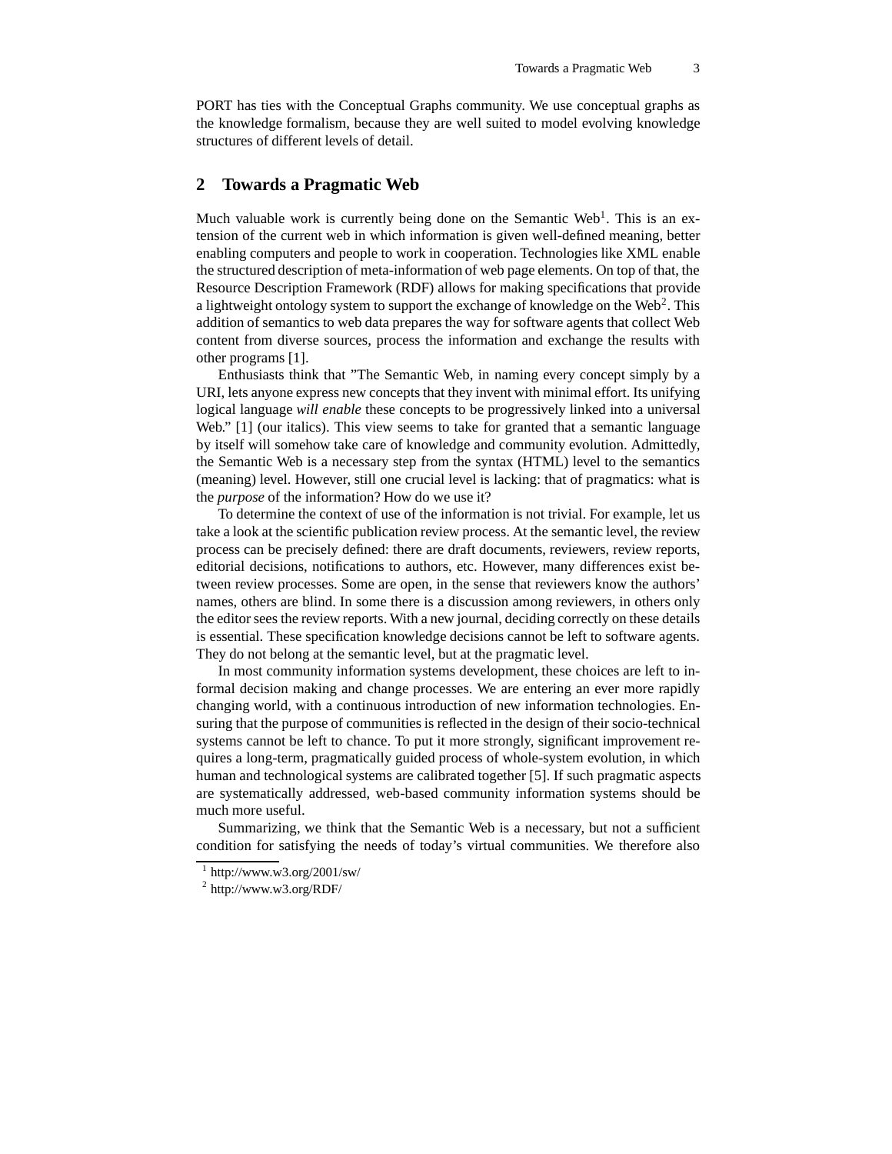PORT has ties with the Conceptual Graphs community. We use conceptual graphs as the knowledge formalism, because they are well suited to model evolving knowledge structures of different levels of detail.

# **2 Towards a Pragmatic Web**

Much valuable work is currently being done on the Semantic Web<sup>1</sup>. This is an extension of the current web in which information is given well-defined meaning, better enabling computers and people to work in cooperation. Technologies like XML enable the structured description of meta-information of web page elements. On top of that, the Resource Description Framework (RDF) allows for making specifications that provide a lightweight ontology system to support the exchange of knowledge on the Web<sup>2</sup>. This addition of semantics to web data prepares the way for software agents that collect Web content from diverse sources, process the information and exchange the results with other programs [1].

Enthusiasts think that "The Semantic Web, in naming every concept simply by a URI, lets anyone express new concepts that they invent with minimal effort. Its unifying logical language *will enable* these concepts to be progressively linked into a universal Web." [1] (our italics). This view seems to take for granted that a semantic language by itself will somehow take care of knowledge and community evolution. Admittedly, the Semantic Web is a necessary step from the syntax (HTML) level to the semantics (meaning) level. However, still one crucial level is lacking: that of pragmatics: what is the *purpose* of the information? How do we use it?

To determine the context of use of the information is not trivial. For example, let us take a look at the scientific publication review process. At the semantic level, the review process can be precisely defined: there are draft documents, reviewers, review reports, editorial decisions, notifications to authors, etc. However, many differences exist between review processes. Some are open, in the sense that reviewers know the authors' names, others are blind. In some there is a discussion among reviewers, in others only the editor sees the review reports. With a new journal, deciding correctly on these details is essential. These specification knowledge decisions cannot be left to software agents. They do not belong at the semantic level, but at the pragmatic level.

In most community information systems development, these choices are left to informal decision making and change processes. We are entering an ever more rapidly changing world, with a continuous introduction of new information technologies. Ensuring that the purpose of communities is reflected in the design of their socio-technical systems cannot be left to chance. To put it more strongly, significant improvement requires a long-term, pragmatically guided process of whole-system evolution, in which human and technological systems are calibrated together [5]. If such pragmatic aspects are systematically addressed, web-based community information systems should be much more useful.

Summarizing, we think that the Semantic Web is a necessary, but not a sufficient condition for satisfying the needs of today's virtual communities. We therefore also

 $1$  http://www.w3.org/2001/sw/

<sup>2</sup> http://www.w3.org/RDF/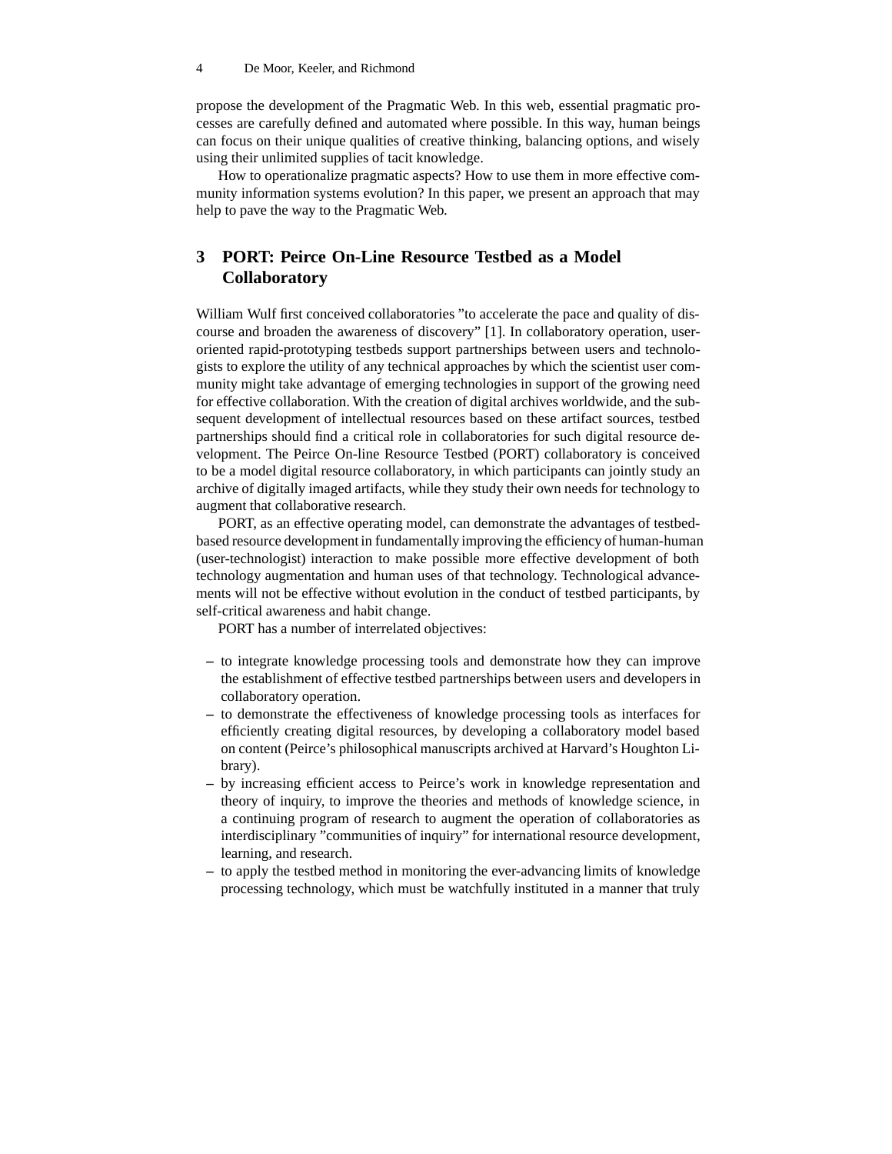propose the development of the Pragmatic Web. In this web, essential pragmatic processes are carefully defined and automated where possible. In this way, human beings can focus on their unique qualities of creative thinking, balancing options, and wisely using their unlimited supplies of tacit knowledge.

How to operationalize pragmatic aspects? How to use them in more effective community information systems evolution? In this paper, we present an approach that may help to pave the way to the Pragmatic Web.

# **3 PORT: Peirce On-Line Resource Testbed as a Model Collaboratory**

William Wulf first conceived collaboratories "to accelerate the pace and quality of discourse and broaden the awareness of discovery" [1]. In collaboratory operation, useroriented rapid-prototyping testbeds support partnerships between users and technologists to explore the utility of any technical approaches by which the scientist user community might take advantage of emerging technologies in support of the growing need for effective collaboration. With the creation of digital archives worldwide, and the subsequent development of intellectual resources based on these artifact sources, testbed partnerships should find a critical role in collaboratories for such digital resource development. The Peirce On-line Resource Testbed (PORT) collaboratory is conceived to be a model digital resource collaboratory, in which participants can jointly study an archive of digitally imaged artifacts, while they study their own needs for technology to augment that collaborative research.

PORT, as an effective operating model, can demonstrate the advantages of testbedbased resource development in fundamentally improving the efficiency of human-human (user-technologist) interaction to make possible more effective development of both technology augmentation and human uses of that technology. Technological advancements will not be effective without evolution in the conduct of testbed participants, by self-critical awareness and habit change.

PORT has a number of interrelated objectives:

- **–** to integrate knowledge processing tools and demonstrate how they can improve the establishment of effective testbed partnerships between users and developers in collaboratory operation.
- **–** to demonstrate the effectiveness of knowledge processing tools as interfaces for efficiently creating digital resources, by developing a collaboratory model based on content (Peirce's philosophical manuscripts archived at Harvard's Houghton Library).
- **–** by increasing efficient access to Peirce's work in knowledge representation and theory of inquiry, to improve the theories and methods of knowledge science, in a continuing program of research to augment the operation of collaboratories as interdisciplinary "communities of inquiry" for international resource development, learning, and research.
- **–** to apply the testbed method in monitoring the ever-advancing limits of knowledge processing technology, which must be watchfully instituted in a manner that truly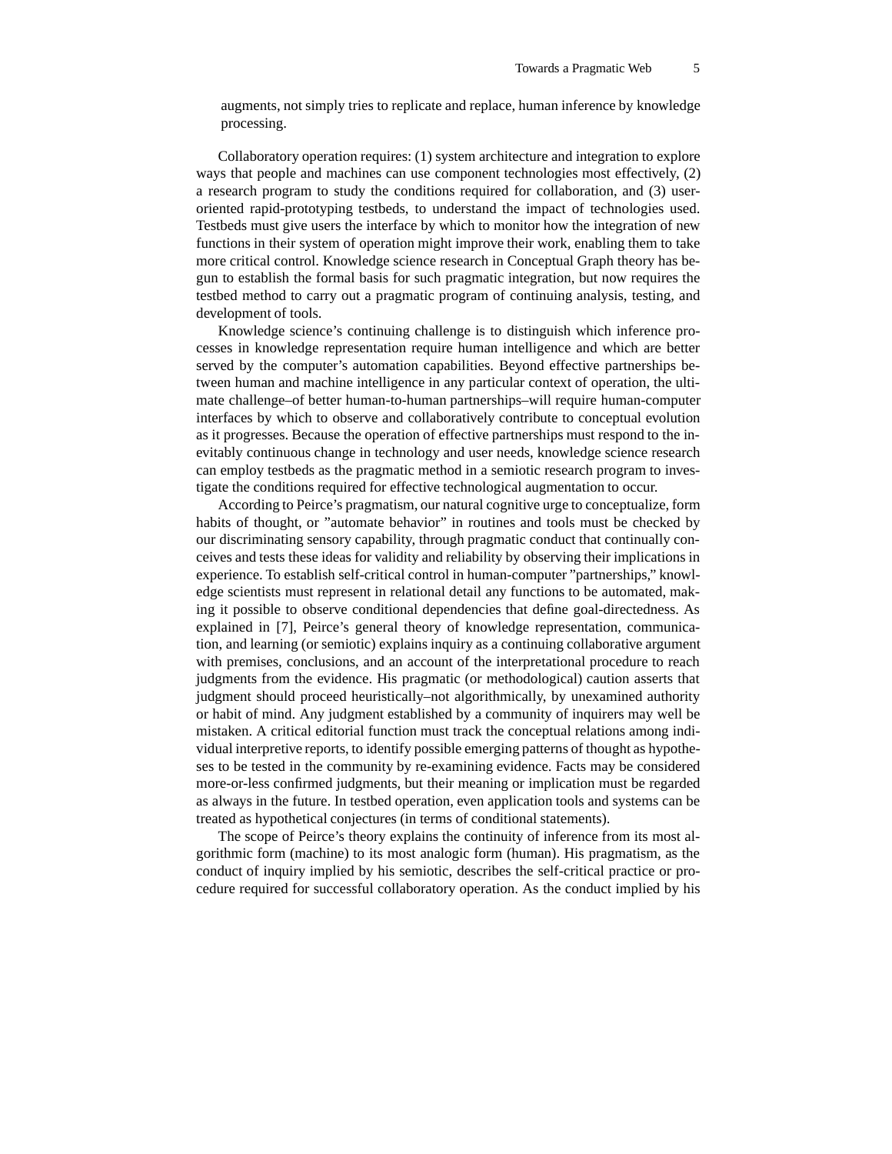augments, not simply tries to replicate and replace, human inference by knowledge processing.

Collaboratory operation requires: (1) system architecture and integration to explore ways that people and machines can use component technologies most effectively, (2) a research program to study the conditions required for collaboration, and (3) useroriented rapid-prototyping testbeds, to understand the impact of technologies used. Testbeds must give users the interface by which to monitor how the integration of new functions in their system of operation might improve their work, enabling them to take more critical control. Knowledge science research in Conceptual Graph theory has begun to establish the formal basis for such pragmatic integration, but now requires the testbed method to carry out a pragmatic program of continuing analysis, testing, and development of tools.

Knowledge science's continuing challenge is to distinguish which inference processes in knowledge representation require human intelligence and which are better served by the computer's automation capabilities. Beyond effective partnerships between human and machine intelligence in any particular context of operation, the ultimate challenge–of better human-to-human partnerships–will require human-computer interfaces by which to observe and collaboratively contribute to conceptual evolution as it progresses. Because the operation of effective partnerships must respond to the inevitably continuous change in technology and user needs, knowledge science research can employ testbeds as the pragmatic method in a semiotic research program to investigate the conditions required for effective technological augmentation to occur.

According to Peirce's pragmatism, our natural cognitive urge to conceptualize, form habits of thought, or "automate behavior" in routines and tools must be checked by our discriminating sensory capability, through pragmatic conduct that continually conceives and tests these ideas for validity and reliability by observing their implications in experience. To establish self-critical control in human-computer "partnerships," knowledge scientists must represent in relational detail any functions to be automated, making it possible to observe conditional dependencies that define goal-directedness. As explained in [7], Peirce's general theory of knowledge representation, communication, and learning (or semiotic) explains inquiry as a continuing collaborative argument with premises, conclusions, and an account of the interpretational procedure to reach judgments from the evidence. His pragmatic (or methodological) caution asserts that judgment should proceed heuristically–not algorithmically, by unexamined authority or habit of mind. Any judgment established by a community of inquirers may well be mistaken. A critical editorial function must track the conceptual relations among individual interpretive reports, to identify possible emerging patterns of thought as hypotheses to be tested in the community by re-examining evidence. Facts may be considered more-or-less confirmed judgments, but their meaning or implication must be regarded as always in the future. In testbed operation, even application tools and systems can be treated as hypothetical conjectures (in terms of conditional statements).

The scope of Peirce's theory explains the continuity of inference from its most algorithmic form (machine) to its most analogic form (human). His pragmatism, as the conduct of inquiry implied by his semiotic, describes the self-critical practice or procedure required for successful collaboratory operation. As the conduct implied by his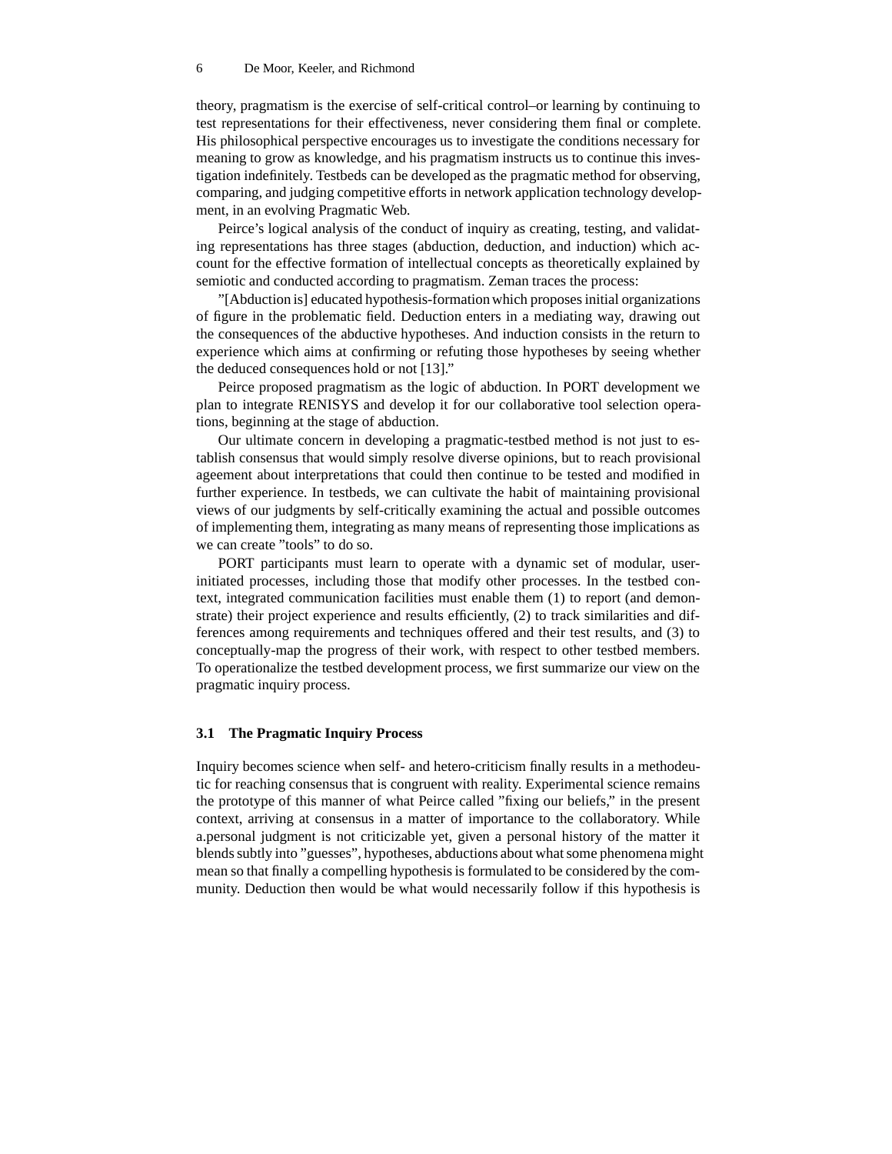theory, pragmatism is the exercise of self-critical control–or learning by continuing to test representations for their effectiveness, never considering them final or complete. His philosophical perspective encourages us to investigate the conditions necessary for meaning to grow as knowledge, and his pragmatism instructs us to continue this investigation indefinitely. Testbeds can be developed as the pragmatic method for observing, comparing, and judging competitive efforts in network application technology development, in an evolving Pragmatic Web.

Peirce's logical analysis of the conduct of inquiry as creating, testing, and validating representations has three stages (abduction, deduction, and induction) which account for the effective formation of intellectual concepts as theoretically explained by semiotic and conducted according to pragmatism. Zeman traces the process:

"[Abduction is] educated hypothesis-formation which proposes initial organizations of figure in the problematic field. Deduction enters in a mediating way, drawing out the consequences of the abductive hypotheses. And induction consists in the return to experience which aims at confirming or refuting those hypotheses by seeing whether the deduced consequences hold or not [13]."

Peirce proposed pragmatism as the logic of abduction. In PORT development we plan to integrate RENISYS and develop it for our collaborative tool selection operations, beginning at the stage of abduction.

Our ultimate concern in developing a pragmatic-testbed method is not just to establish consensus that would simply resolve diverse opinions, but to reach provisional ageement about interpretations that could then continue to be tested and modified in further experience. In testbeds, we can cultivate the habit of maintaining provisional views of our judgments by self-critically examining the actual and possible outcomes of implementing them, integrating as many means of representing those implications as we can create "tools" to do so.

PORT participants must learn to operate with a dynamic set of modular, userinitiated processes, including those that modify other processes. In the testbed context, integrated communication facilities must enable them (1) to report (and demonstrate) their project experience and results efficiently, (2) to track similarities and differences among requirements and techniques offered and their test results, and (3) to conceptually-map the progress of their work, with respect to other testbed members. To operationalize the testbed development process, we first summarize our view on the pragmatic inquiry process.

#### **3.1 The Pragmatic Inquiry Process**

Inquiry becomes science when self- and hetero-criticism finally results in a methodeutic for reaching consensus that is congruent with reality. Experimental science remains the prototype of this manner of what Peirce called "fixing our beliefs," in the present context, arriving at consensus in a matter of importance to the collaboratory. While a.personal judgment is not criticizable yet, given a personal history of the matter it blends subtly into "guesses", hypotheses, abductions about what some phenomena might mean so that finally a compelling hypothesis is formulated to be considered by the community. Deduction then would be what would necessarily follow if this hypothesis is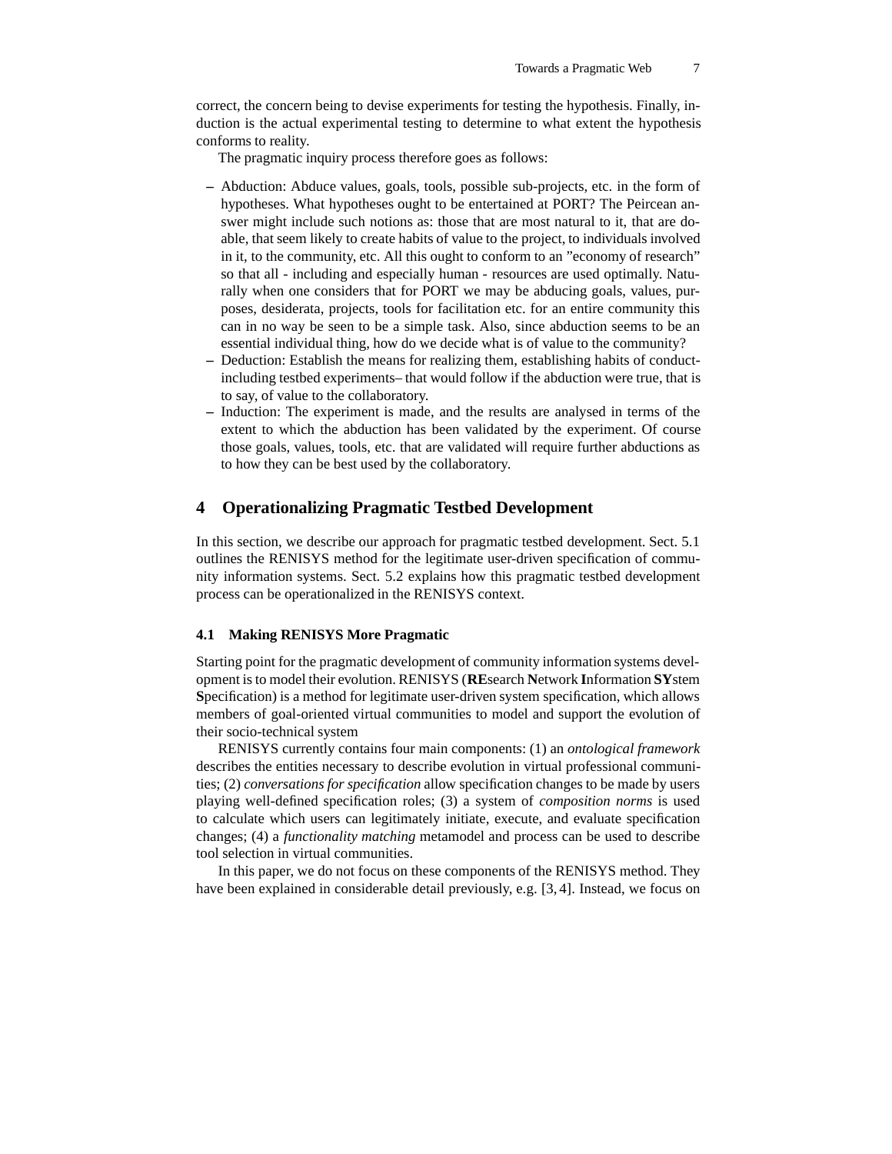correct, the concern being to devise experiments for testing the hypothesis. Finally, induction is the actual experimental testing to determine to what extent the hypothesis conforms to reality.

The pragmatic inquiry process therefore goes as follows:

- **–** Abduction: Abduce values, goals, tools, possible sub-projects, etc. in the form of hypotheses. What hypotheses ought to be entertained at PORT? The Peircean answer might include such notions as: those that are most natural to it, that are doable, that seem likely to create habits of value to the project, to individuals involved in it, to the community, etc. All this ought to conform to an "economy of research" so that all - including and especially human - resources are used optimally. Naturally when one considers that for PORT we may be abducing goals, values, purposes, desiderata, projects, tools for facilitation etc. for an entire community this can in no way be seen to be a simple task. Also, since abduction seems to be an essential individual thing, how do we decide what is of value to the community?
- **–** Deduction: Establish the means for realizing them, establishing habits of conductincluding testbed experiments– that would follow if the abduction were true, that is to say, of value to the collaboratory.
- **–** Induction: The experiment is made, and the results are analysed in terms of the extent to which the abduction has been validated by the experiment. Of course those goals, values, tools, etc. that are validated will require further abductions as to how they can be best used by the collaboratory.

# **4 Operationalizing Pragmatic Testbed Development**

In this section, we describe our approach for pragmatic testbed development. Sect. 5.1 outlines the RENISYS method for the legitimate user-driven specification of community information systems. Sect. 5.2 explains how this pragmatic testbed development process can be operationalized in the RENISYS context.

#### **4.1 Making RENISYS More Pragmatic**

Starting point for the pragmatic development of community information systems development is to model their evolution. RENISYS (**RE**search **N**etwork **I**nformation **SY**stem **S**pecification) is a method for legitimate user-driven system specification, which allows members of goal-oriented virtual communities to model and support the evolution of their socio-technical system

RENISYS currently contains four main components: (1) an *ontological framework* describes the entities necessary to describe evolution in virtual professional communities; (2) *conversations for specification* allow specification changes to be made by users playing well-defined specification roles; (3) a system of *composition norms* is used to calculate which users can legitimately initiate, execute, and evaluate specification changes; (4) a *functionality matching* metamodel and process can be used to describe tool selection in virtual communities.

In this paper, we do not focus on these components of the RENISYS method. They have been explained in considerable detail previously, e.g. [3, 4]. Instead, we focus on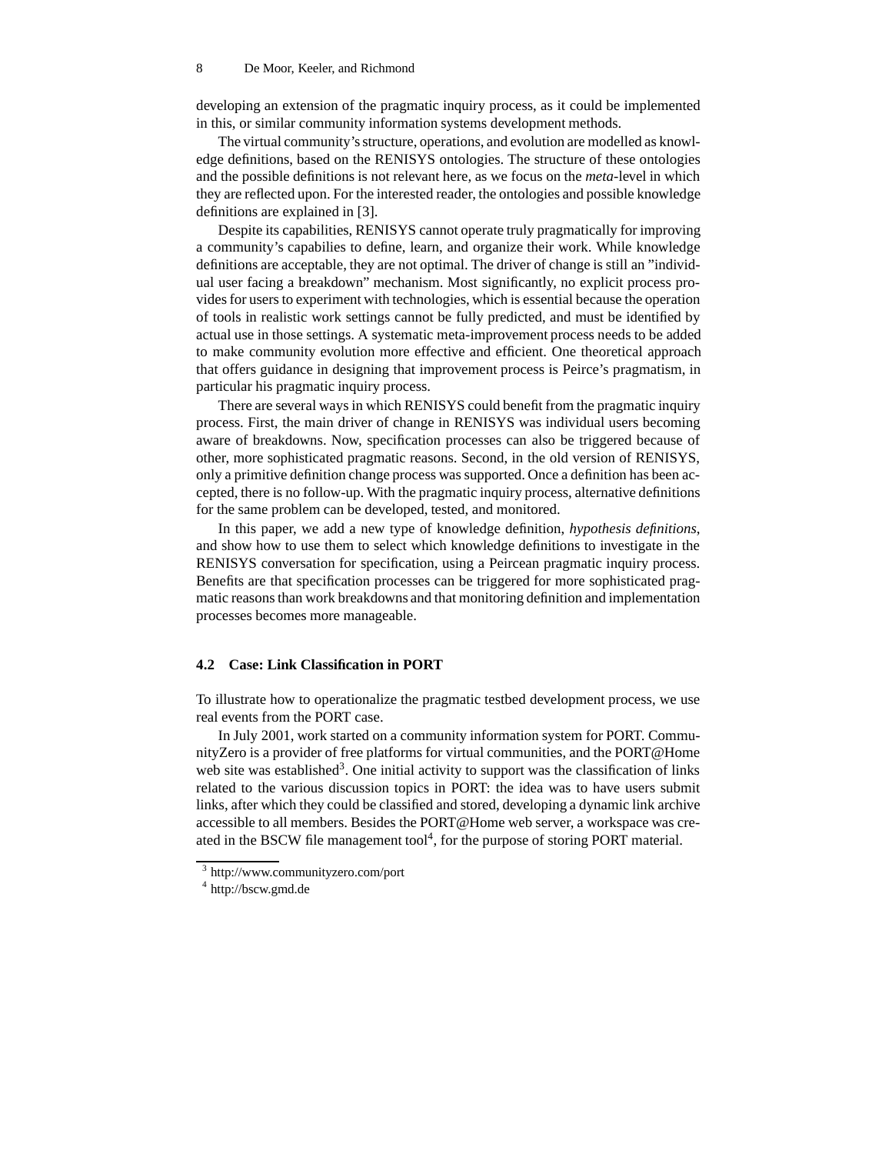developing an extension of the pragmatic inquiry process, as it could be implemented in this, or similar community information systems development methods.

The virtual community's structure, operations, and evolution are modelled as knowledge definitions, based on the RENISYS ontologies. The structure of these ontologies and the possible definitions is not relevant here, as we focus on the *meta-*level in which they are reflected upon. For the interested reader, the ontologies and possible knowledge definitions are explained in [3].

Despite its capabilities, RENISYS cannot operate truly pragmatically for improving a community's capabilies to define, learn, and organize their work. While knowledge definitions are acceptable, they are not optimal. The driver of change is still an "individual user facing a breakdown" mechanism. Most significantly, no explicit process provides for users to experiment with technologies, which is essential because the operation of tools in realistic work settings cannot be fully predicted, and must be identified by actual use in those settings. A systematic meta-improvement process needs to be added to make community evolution more effective and efficient. One theoretical approach that offers guidance in designing that improvement process is Peirce's pragmatism, in particular his pragmatic inquiry process.

There are several ways in which RENISYS could benefit from the pragmatic inquiry process. First, the main driver of change in RENISYS was individual users becoming aware of breakdowns. Now, specification processes can also be triggered because of other, more sophisticated pragmatic reasons. Second, in the old version of RENISYS, only a primitive definition change process was supported. Once a definition has been accepted, there is no follow-up. With the pragmatic inquiry process, alternative definitions for the same problem can be developed, tested, and monitored.

In this paper, we add a new type of knowledge definition, *hypothesis definitions*, and show how to use them to select which knowledge definitions to investigate in the RENISYS conversation for specification, using a Peircean pragmatic inquiry process. Benefits are that specification processes can be triggered for more sophisticated pragmatic reasons than work breakdowns and that monitoring definition and implementation processes becomes more manageable.

#### **4.2 Case: Link Classification in PORT**

To illustrate how to operationalize the pragmatic testbed development process, we use real events from the PORT case.

In July 2001, work started on a community information system for PORT. CommunityZero is a provider of free platforms for virtual communities, and the PORT@Home web site was established<sup>3</sup>. One initial activity to support was the classification of links related to the various discussion topics in PORT: the idea was to have users submit links, after which they could be classified and stored, developing a dynamic link archive accessible to all members. Besides the PORT@Home web server, a workspace was created in the BSCW file management tool<sup>4</sup>, for the purpose of storing PORT material.

<sup>3</sup> http://www.communityzero.com/port

<sup>4</sup> http://bscw.gmd.de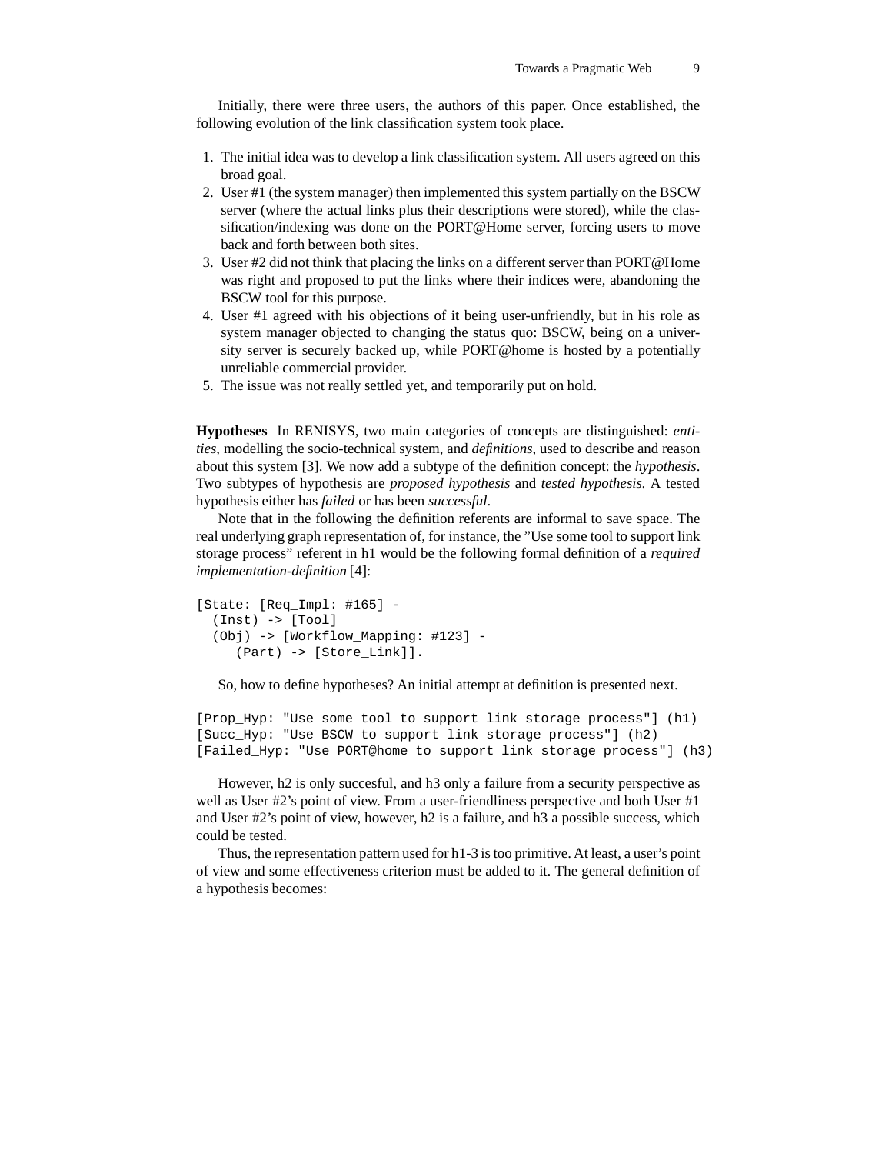Initially, there were three users, the authors of this paper. Once established, the following evolution of the link classification system took place.

- 1. The initial idea was to develop a link classification system. All users agreed on this broad goal.
- 2. User #1 (the system manager) then implemented this system partially on the BSCW server (where the actual links plus their descriptions were stored), while the classification/indexing was done on the PORT@Home server, forcing users to move back and forth between both sites.
- 3. User #2 did not think that placing the links on a different server than PORT@Home was right and proposed to put the links where their indices were, abandoning the BSCW tool for this purpose.
- 4. User #1 agreed with his objections of it being user-unfriendly, but in his role as system manager objected to changing the status quo: BSCW, being on a university server is securely backed up, while PORT@home is hosted by a potentially unreliable commercial provider.
- 5. The issue was not really settled yet, and temporarily put on hold.

**Hypotheses** In RENISYS, two main categories of concepts are distinguished: *entities*, modelling the socio-technical system, and *definitions*, used to describe and reason about this system [3]. We now add a subtype of the definition concept: the *hypothesis*. Two subtypes of hypothesis are *proposed hypothesis* and *tested hypothesis*. A tested hypothesis either has *failed* or has been *successful*.

Note that in the following the definition referents are informal to save space. The real underlying graph representation of, for instance, the "Use some tool to support link storage process" referent in h1 would be the following formal definition of a *required implementation-definition* [4]:

```
[State: [Req_Impl: #165] -
  (\text{Inst}) \rightarrow \text{Total}(Obj) -> [Workflow_Mapping: #123] -
      (Part) -> [Store_Link]].
```
So, how to define hypotheses? An initial attempt at definition is presented next.

```
[Prop_Hyp: "Use some tool to support link storage process"] (h1)
[Succ_Hyp: "Use BSCW to support link storage process"] (h2)
[Failed_Hyp: "Use PORT@home to support link storage process"] (h3)
```
However, h2 is only succesful, and h3 only a failure from a security perspective as well as User #2's point of view. From a user-friendliness perspective and both User #1 and User #2's point of view, however, h2 is a failure, and h3 a possible success, which could be tested.

Thus, the representation pattern used for h1-3 is too primitive. At least, a user's point of view and some effectiveness criterion must be added to it. The general definition of a hypothesis becomes: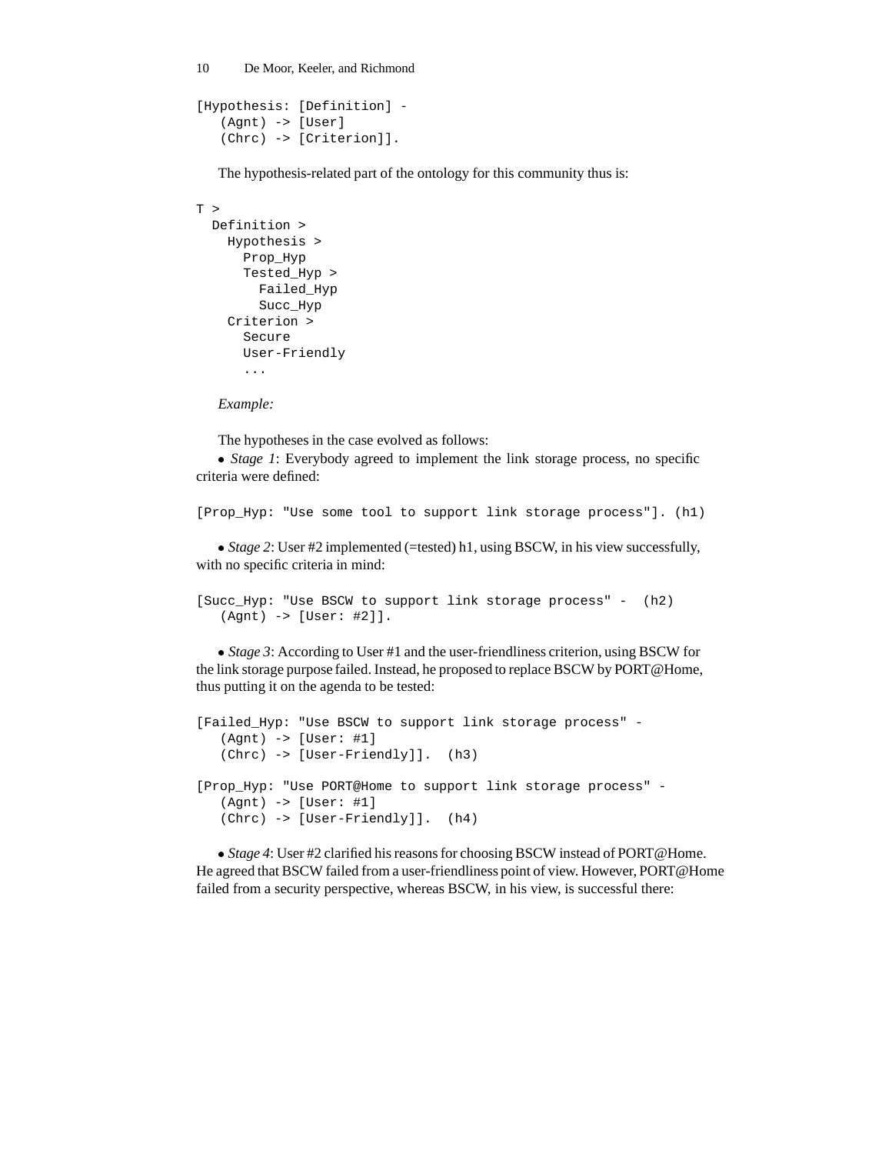```
[Hypothesis: [Definition] -
   (Agnt) -> [User]
   (Chrc) -> [Criterion]].
```
The hypothesis-related part of the ontology for this community thus is:

```
T >
 Definition >
   Hypothesis >
     Prop_Hyp
      Tested_Hyp >
        Failed_Hyp
        Succ_Hyp
    Criterion >
      Secure
      User-Friendly
      ...
```
*Example:*

The hypotheses in the case evolved as follows:

 *Stage 1*: Everybody agreed to implement the link storage process, no specific criteria were defined:

[Prop\_Hyp: "Use some tool to support link storage process"]. (h1)

 *Stage 2*: User #2 implemented (=tested) h1, using BSCW, in his view successfully, with no specific criteria in mind:

```
[Succ_Hyp: "Use BSCW to support link storage process" - (h2)
  (Agnt) -> [User: #2]].
```
 *Stage 3*: According to User #1 and the user-friendliness criterion, using BSCW for the link storage purpose failed. Instead, he proposed to replace BSCW by PORT@Home, thus putting it on the agenda to be tested:

```
[Failed_Hyp: "Use BSCW to support link storage process" -
   (Agnt) -> [User: #1]
   (Chrc) -> [User-Friendly]]. (h3)
[Prop_Hyp: "Use PORT@Home to support link storage process" -
  (Agnt) -> [User: #1]
   (Chrc) -> [User-Friendly]]. (h4)
```
 *Stage 4*: User #2 clarified his reasons for choosing BSCW instead of PORT@Home. He agreed that BSCW failed from a user-friendliness point of view. However, PORT@Home failed from a security perspective, whereas BSCW, in his view, is successful there: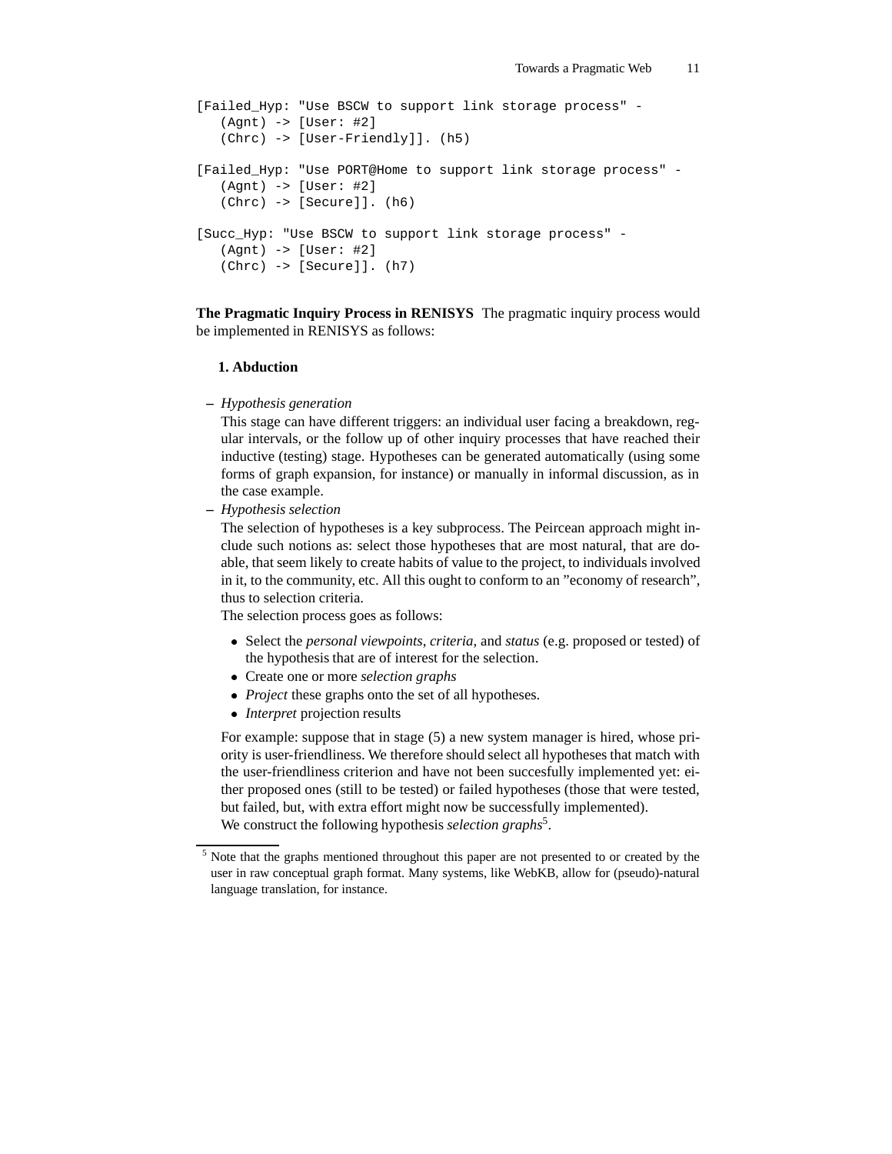```
[Failed_Hyp: "Use BSCW to support link storage process" -
   (Agnt) -> [User: #2]
   (Chrc) -> [User-Friendly]]. (h5)
[Failed_Hyp: "Use PORT@Home to support link storage process" -
   (Agnt) -> [User: #2]
   (Chrc) -> [Secure]]. (h6)
[Succ_Hyp: "Use BSCW to support link storage process" -
   (Agnt) -> [User: #2]
   (Chrc) -> [Secure]]. (h7)
```
**The Pragmatic Inquiry Process in RENISYS** The pragmatic inquiry process would be implemented in RENISYS as follows:

### **1. Abduction**

**–** *Hypothesis generation*

This stage can have different triggers: an individual user facing a breakdown, regular intervals, or the follow up of other inquiry processes that have reached their inductive (testing) stage. Hypotheses can be generated automatically (using some forms of graph expansion, for instance) or manually in informal discussion, as in the case example.

**–** *Hypothesis selection*

The selection of hypotheses is a key subprocess. The Peircean approach might include such notions as: select those hypotheses that are most natural, that are doable, that seem likely to create habits of value to the project, to individuals involved in it, to the community, etc. All this ought to conform to an "economy of research", thus to selection criteria.

The selection process goes as follows:

- Select the *personal viewpoints*, *criteria*, and *status* (e.g. proposed or tested) of the hypothesis that are of interest for the selection.
- Create one or more *selection graphs*
- *Project* these graphs onto the set of all hypotheses.
- *Interpret* projection results

For example: suppose that in stage  $(5)$  a new system manager is hired, whose priority is user-friendliness. We therefore should select all hypotheses that match with the user-friendliness criterion and have not been succesfully implemented yet: either proposed ones (still to be tested) or failed hypotheses (those that were tested, but failed, but, with extra effort might now be successfully implemented). We construct the following hypothesis *selection graphs*<sup>5</sup>.

<sup>5</sup> Note that the graphs mentioned throughout this paper are not presented to or created by the user in raw conceptual graph format. Many systems, like WebKB, allow for (pseudo)-natural language translation, for instance.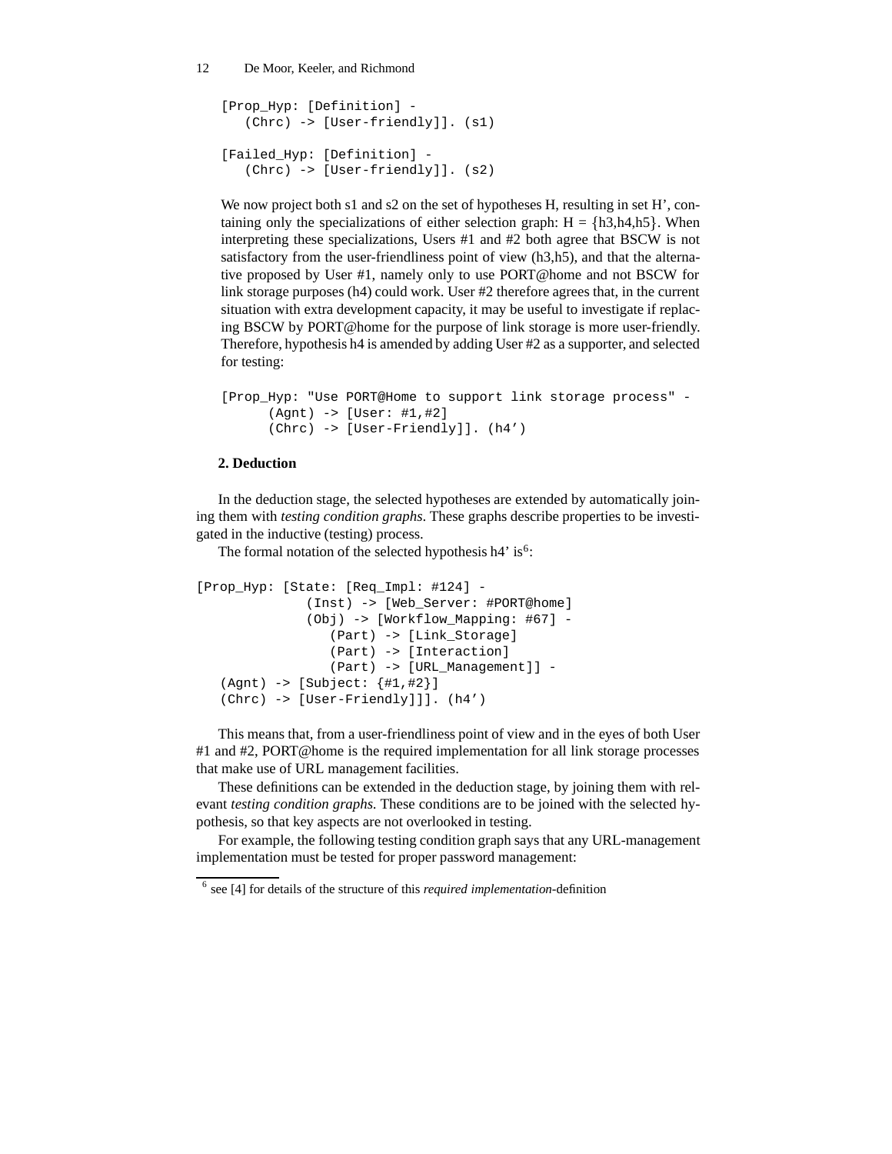```
[Prop_Hyp: [Definition] -
   (Chrc) -> [User-friendly]]. (s1)
[Failed_Hyp: [Definition] -
   (Chrc) -> [User-friendly]]. (s2)
```
We now project both s1 and s2 on the set of hypotheses H, resulting in set H', containing only the specializations of either selection graph:  $H = \{h3, h4, h5\}$ . When interpreting these specializations, Users #1 and #2 both agree that BSCW is not satisfactory from the user-friendliness point of view (h3,h5), and that the alternative proposed by User #1, namely only to use PORT@home and not BSCW for link storage purposes (h4) could work. User #2 therefore agrees that, in the current situation with extra development capacity, it may be useful to investigate if replacing BSCW by PORT@home for the purpose of link storage is more user-friendly. Therefore, hypothesis h4 is amended by adding User #2 as a supporter, and selected for testing:

```
[Prop_Hyp: "Use PORT@Home to support link storage process" -
      (Agnt) -> [User: #1,#2]
      (Chrc) -> [User-Friendly]]. (h4')
```
### **2. Deduction**

In the deduction stage, the selected hypotheses are extended by automatically joining them with *testing condition graphs*. These graphs describe properties to be investigated in the inductive (testing) process.

The formal notation of the selected hypothesis  $h4$ ' is<sup>6</sup>:

```
[Prop_Hyp: [State: [Req_Impl: #124] -
              (Inst) -> [Web_Server: #PORT@home]
              (Obj) -> [Workflow_Mapping: #67] -
                 (Part) -> [Link_Storage]
                 (Part) -> [Interaction]
                 (Part) -> [URL_Management]] -
   (Agnt) -> [Subject: {#1,#2}]
   (Chrc) -> [User-Friendly]]]. (h4')
```
This means that, from a user-friendliness point of view and in the eyes of both User #1 and #2, PORT@home is the required implementation for all link storage processes that make use of URL management facilities.

These definitions can be extended in the deduction stage, by joining them with relevant *testing condition graphs*. These conditions are to be joined with the selected hypothesis, so that key aspects are not overlooked in testing.

For example, the following testing condition graph says that any URL-management implementation must be tested for proper password management:

<sup>6</sup> see [4] for details of the structure of this *required implementation*-definition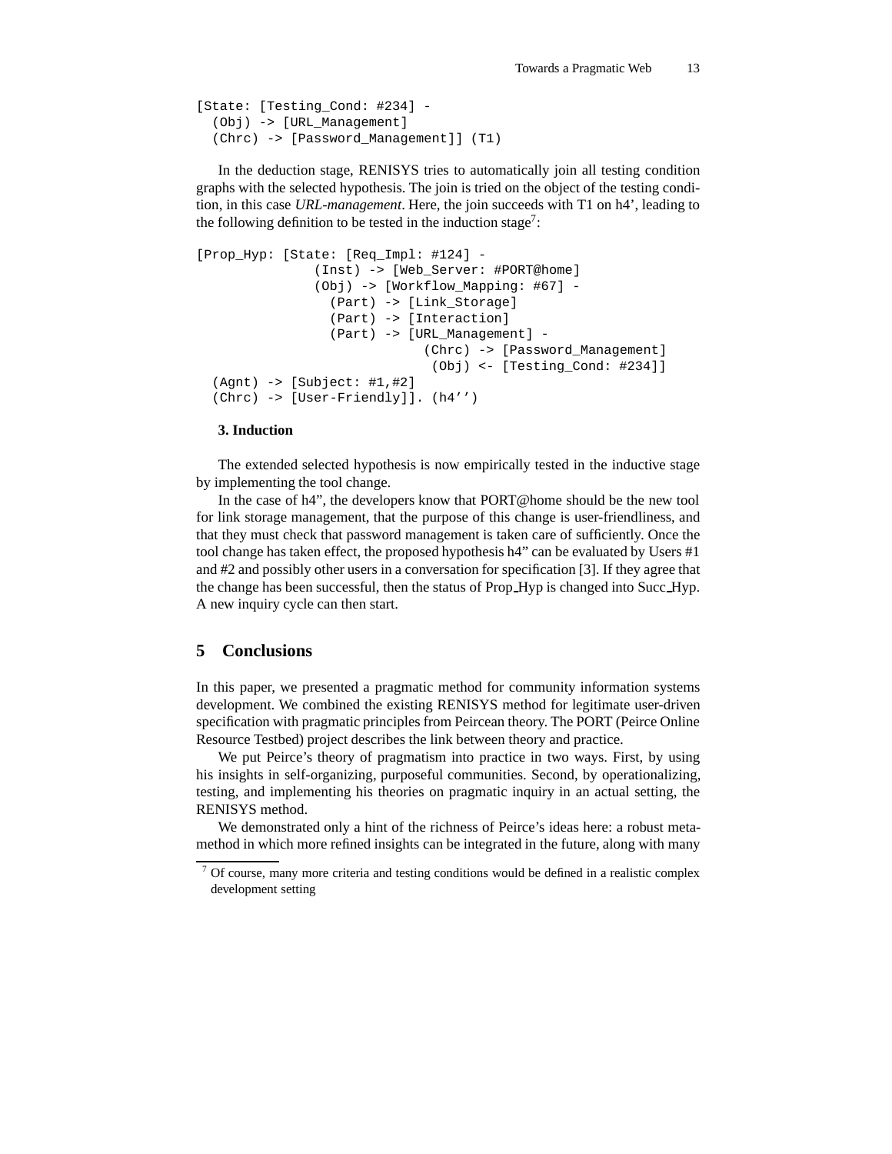```
[State: [Testing_Cond: #234] -
  (Obj) -> [URL_Management]
  (Chrc) -> [Password_Management]] (T1)
```
In the deduction stage, RENISYS tries to automatically join all testing condition graphs with the selected hypothesis. The join is tried on the object of the testing condition, in this case *URL-management*. Here, the join succeeds with T1 on h4', leading to the following definition to be tested in the induction stage<sup>7</sup>:

```
[Prop_Hyp: [State: [Req_Impl: #124] -
               (Inst) -> [Web_Server: #PORT@home]
               (Obj) -> [Workflow_Mapping: #67] -
                 (Part) -> [Link_Storage]
                 (Part) -> [Interaction]
                 (Part) -> [URL_Management] -
                             (Chrc) -> [Password_Management]
                              (Obj) <- [Testing_Cond: #234]]
  (Agnt) -> [Subject: #1,#2]
  (Chrc) -> [User-Friendly]]. (h4'')
```
#### **3. Induction**

The extended selected hypothesis is now empirically tested in the inductive stage by implementing the tool change.

In the case of h4", the developers know that PORT@home should be the new tool for link storage management, that the purpose of this change is user-friendliness, and that they must check that password management is taken care of sufficiently. Once the tool change has taken effect, the proposed hypothesis h4" can be evaluated by Users #1 and #2 and possibly other users in a conversation for specification [3]. If they agree that the change has been successful, then the status of Prop Hyp is changed into Succ Hyp. A new inquiry cycle can then start.

# **5 Conclusions**

In this paper, we presented a pragmatic method for community information systems development. We combined the existing RENISYS method for legitimate user-driven specification with pragmatic principles from Peircean theory. The PORT (Peirce Online Resource Testbed) project describes the link between theory and practice.

We put Peirce's theory of pragmatism into practice in two ways. First, by using his insights in self-organizing, purposeful communities. Second, by operationalizing, testing, and implementing his theories on pragmatic inquiry in an actual setting, the RENISYS method.

We demonstrated only a hint of the richness of Peirce's ideas here: a robust metamethod in which more refined insights can be integrated in the future, along with many

 $7$  Of course, many more criteria and testing conditions would be defined in a realistic complex development setting